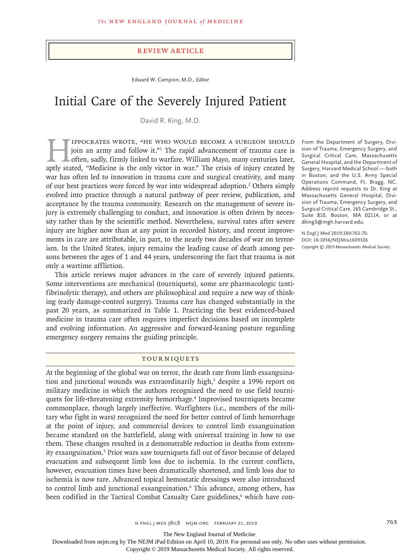#### Review Article

Edward W. Campion, M.D., *Editor*

# Initial Care of the Severely Injured Patient

David R. King, M.D.

IPPOCRATES WROTE, "HE WHO WOULD BECOME A SURGEON SHOULD<br>join an army and follow it."<sup>1</sup> The rapid advancement of trauma care is<br>often, sadly, firmly linked to warfare. William Mayo, many centuries later,<br>aptly stated. "Med join an army and follow it."<sup>1</sup> The rapid advancement of trauma care is often, sadly, firmly linked to warfare. William Mayo, many centuries later, aptly stated, "Medicine is the only victor in war." The crisis of injury created by war has often led to innovation in trauma care and surgical creativity, and many of our best practices were forced by war into widespread adoption.<sup>2</sup> Others simply evolved into practice through a natural pathway of peer review, publication, and acceptance by the trauma community. Research on the management of severe injury is extremely challenging to conduct, and innovation is often driven by necessity rather than by the scientific method. Nevertheless, survival rates after severe injury are higher now than at any point in recorded history, and recent improvements in care are attributable, in part, to the nearly two decades of war on terrorism. In the United States, injury remains the leading cause of death among persons between the ages of 1 and 44 years, underscoring the fact that trauma is not only a wartime affliction.

This article reviews major advances in the care of severely injured patients. Some interventions are mechanical (tourniquets), some are pharmacologic (antifibrinolytic therapy), and others are philosophical and require a new way of thinking (early damage-control surgery). Trauma care has changed substantially in the past 20 years, as summarized in Table 1. Practicing the best evidenced-based medicine in trauma care often requires imperfect decisions based on incomplete and evolving information. An aggressive and forward-leaning posture regarding emergency surgery remains the guiding principle.

# **TOURNIQUETS**

At the beginning of the global war on terror, the death rate from limb exsanguination and junctional wounds was extraordinarily high,<sup>3</sup> despite a 1996 report on military medicine in which the authors recognized the need to use field tourniquets for life-threatening extremity hemorrhage.<sup>4</sup> Improvised tourniquets became commonplace, though largely ineffective. Warfighters (i.e., members of the military who fight in wars) recognized the need for better control of limb hemorrhage at the point of injury, and commercial devices to control limb exsanguination became standard on the battlefield, along with universal training in how to use them. These changes resulted in a demonstrable reduction in deaths from extremity exsanguination.<sup>5</sup> Prior wars saw tourniquets fall out of favor because of delayed evacuation and subsequent limb loss due to ischemia. In the current conflicts, however, evacuation times have been dramatically shortened, and limb loss due to ischemia is now rare. Advanced topical hemostatic dressings were also introduced to control limb and junctional exsanguination.<sup>6</sup> This advance, among others, has been codified in the Tactical Combat Casualty Care guidelines,<sup>6</sup> which have con-

From the Department of Surgery, Division of Trauma, Emergency Surgery, and Surgical Critical Care, Massachusetts General Hospital, and the Department of Surgery, Harvard Medical School — both in Boston; and the U.S. Army Special Operations Command, Ft. Bragg, NC. Address reprint requests to Dr. King at Massachusetts General Hospital, Division of Trauma, Emergency Surgery, and Surgical Critical Care, 165 Cambridge St., Suite 810, Boston, MA 02114, or at dking3@mgh.harvard.edu.

**N Engl J Med 2019;380:763-70. DOI: 10.1056/NEJMra1609326** *Copyright © 2019 Massachusetts Medical Society.*

n engl j med 380;8 nejm.org February 21, 2019 763

The New England Journal of Medicine

Downloaded from nejm.org by The NEJM iPad Edition on April 10, 2019. For personal use only. No other uses without permission.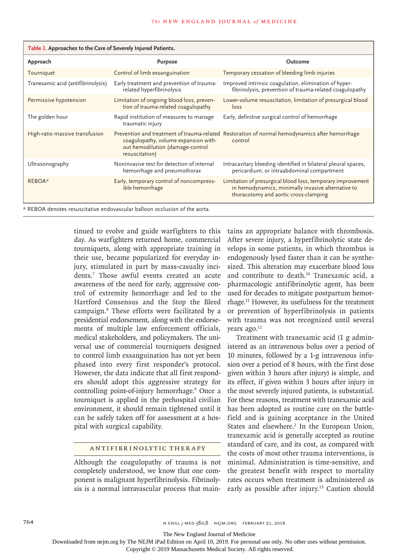| Table 1. Approaches to the Care of Severely Injured Patients. |                                                                                            |                                                                                                                                                            |
|---------------------------------------------------------------|--------------------------------------------------------------------------------------------|------------------------------------------------------------------------------------------------------------------------------------------------------------|
| Approach                                                      | <b>Purpose</b>                                                                             | Outcome                                                                                                                                                    |
| Tourniquet                                                    | Control of limb exsanguination                                                             | Temporary cessation of bleeding limb injuries                                                                                                              |
| Tranexamic acid (antifibrinolysis)                            | Early treatment and prevention of trauma-<br>related hyperfibrinolysis                     | Improved intrinsic coagulation, elimination of hyper-<br>fibrinolysis, prevention of trauma-related coagulopathy                                           |
| Permissive hypotension                                        | Limitation of ongoing blood loss, preven-<br>tion of trauma-related coagulopathy           | Lower-volume resuscitation, limitation of presurgical blood<br>loss                                                                                        |
| The golden hour                                               | Rapid institution of measures to manage<br>traumatic injury                                | Early, definitive surgical control of hemorrhage                                                                                                           |
| High-ratio massive transfusion                                | coagulopathy, volume expansion with-<br>out hemodilution (damage-control<br>resuscitation) | Prevention and treatment of trauma-related Restoration of normal hemodynamics after hemorrhage<br>control                                                  |
| Ultrasonography                                               | Noninvasive test for detection of internal<br>hemorrhage and pneumothorax                  | Intracavitary bleeding identified in bilateral pleural spaces,<br>pericardium, or intraabdominal compartment                                               |
| REBOA*                                                        | Early, temporary control of noncompress-<br>ible hemorrhage                                | Limitation of presurgical blood loss, temporary improvement<br>in hemodynamics, minimally invasive alternative to<br>thoracotomy and aortic cross-clamping |

\* REBOA denotes resuscitative endovascular balloon occlusion of the aorta.

tinued to evolve and guide warfighters to this day. As warfighters returned home, commercial tourniquets, along with appropriate training in their use, became popularized for everyday injury, stimulated in part by mass-casualty incidents.7 Those awful events created an acute awareness of the need for early, aggressive control of extremity hemorrhage and led to the Hartford Consensus and the Stop the Bleed campaign.8 These efforts were facilitated by a presidential endorsement, along with the endorsements of multiple law enforcement officials, medical stakeholders, and policymakers. The universal use of commercial tourniquets designed to control limb exsanguination has not yet been phased into every first responder's protocol. However, the data indicate that all first responders should adopt this aggressive strategy for controlling point-of-injury hemorrhage.<sup>9</sup> Once a tourniquet is applied in the prehospital civilian environment, it should remain tightened until it can be safely taken off for assessment at a hospital with surgical capability.

# Antifibrinolytic Therapy

Although the coagulopathy of trauma is not completely understood, we know that one component is malignant hyperfibrinolysis. Fibrinolysis is a normal intravascular process that maintains an appropriate balance with thrombosis. After severe injury, a hyperfibrinolytic state develops in some patients, in which thrombus is endogenously lysed faster than it can be synthesized. This alteration may exacerbate blood loss and contribute to death.10 Tranexamic acid, a pharmacologic antifibrinolytic agent, has been used for decades to mitigate postpartum hemorrhage.11 However, its usefulness for the treatment or prevention of hyperfibrinolysis in patients with trauma was not recognized until several years ago.<sup>12</sup>

Treatment with tranexamic acid (1 g administered as an intravenous bolus over a period of 10 minutes, followed by a 1-g intravenous infusion over a period of 8 hours, with the first dose given within 3 hours after injury) is simple, and its effect, if given within 3 hours after injury in the most severely injured patients, is substantial. For these reasons, treatment with tranexamic acid has been adopted as routine care on the battlefield and is gaining acceptance in the United States and elsewhere.<sup>2</sup> In the European Union, tranexamic acid is generally accepted as routine standard of care, and its cost, as compared with the costs of most other trauma interventions, is minimal. Administration is time-sensitive, and the greatest benefit with respect to mortality rates occurs when treatment is administered as early as possible after injury.<sup>13</sup> Caution should

764 n engl j med 380;8 nejm.org February 21, 2019

The New England Journal of Medicine

Downloaded from nejm.org by The NEJM iPad Edition on April 10, 2019. For personal use only. No other uses without permission.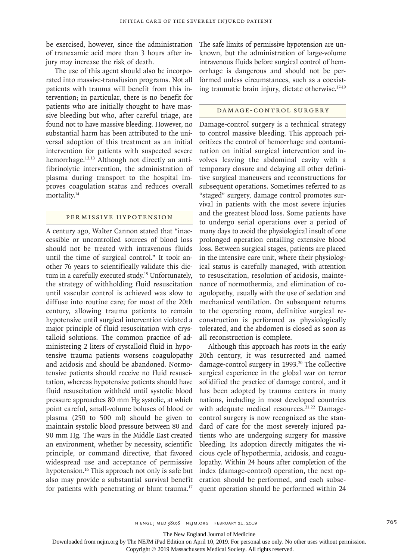be exercised, however, since the administration of tranexamic acid more than 3 hours after injury may increase the risk of death.

The use of this agent should also be incorporated into massive-transfusion programs. Not all patients with trauma will benefit from this intervention; in particular, there is no benefit for patients who are initially thought to have massive bleeding but who, after careful triage, are found not to have massive bleeding. However, no substantial harm has been attributed to the universal adoption of this treatment as an initial intervention for patients with suspected severe hemorrhage.<sup>12,13</sup> Although not directly an antifibrinolytic intervention, the administration of plasma during transport to the hospital improves coagulation status and reduces overall mortality.<sup>14</sup>

## Permissive Hypotension

A century ago, Walter Cannon stated that "inaccessible or uncontrolled sources of blood loss should not be treated with intravenous fluids until the time of surgical control." It took another 76 years to scientifically validate this dictum in a carefully executed study.<sup>15</sup> Unfortunately, the strategy of withholding fluid resuscitation until vascular control is achieved was slow to diffuse into routine care; for most of the 20th century, allowing trauma patients to remain hypotensive until surgical intervention violated a major principle of fluid resuscitation with crystalloid solutions. The common practice of administering 2 liters of crystalloid fluid in hypotensive trauma patients worsens coagulopathy and acidosis and should be abandoned. Normotensive patients should receive no fluid resuscitation, whereas hypotensive patients should have fluid resuscitation withheld until systolic blood pressure approaches 80 mm Hg systolic, at which point careful, small-volume boluses of blood or plasma (250 to 500 ml) should be given to maintain systolic blood pressure between 80 and 90 mm Hg. The wars in the Middle East created an environment, whether by necessity, scientific principle, or command directive, that favored widespread use and acceptance of permissive hypotension.<sup>16</sup> This approach not only is safe but also may provide a substantial survival benefit for patients with penetrating or blunt trauma.<sup>17</sup>

The safe limits of permissive hypotension are unknown, but the administration of large-volume intravenous fluids before surgical control of hemorrhage is dangerous and should not be performed unless circumstances, such as a coexisting traumatic brain injury, dictate otherwise.17-19

#### Damage-Control Surgery

Damage-control surgery is a technical strategy to control massive bleeding. This approach prioritizes the control of hemorrhage and contamination on initial surgical intervention and involves leaving the abdominal cavity with a temporary closure and delaying all other definitive surgical maneuvers and reconstructions for subsequent operations. Sometimes referred to as "staged" surgery, damage control promotes survival in patients with the most severe injuries and the greatest blood loss. Some patients have to undergo serial operations over a period of many days to avoid the physiological insult of one prolonged operation entailing extensive blood loss. Between surgical stages, patients are placed in the intensive care unit, where their physiological status is carefully managed, with attention to resuscitation, resolution of acidosis, maintenance of normothermia, and elimination of coagulopathy, usually with the use of sedation and mechanical ventilation. On subsequent returns to the operating room, definitive surgical reconstruction is performed as physiologically tolerated, and the abdomen is closed as soon as all reconstruction is complete.

Although this approach has roots in the early 20th century, it was resurrected and named damage-control surgery in 1993.<sup>20</sup> The collective surgical experience in the global war on terror solidified the practice of damage control, and it has been adopted by trauma centers in many nations, including in most developed countries with adequate medical resources.<sup>21,22</sup> Damagecontrol surgery is now recognized as the standard of care for the most severely injured patients who are undergoing surgery for massive bleeding. Its adoption directly mitigates the vicious cycle of hypothermia, acidosis, and coagulopathy. Within 24 hours after completion of the index (damage-control) operation, the next operation should be performed, and each subsequent operation should be performed within 24

n engl j med 380;8 nejm.org February 21, 2019 765

The New England Journal of Medicine

Downloaded from nejm.org by The NEJM iPad Edition on April 10, 2019. For personal use only. No other uses without permission.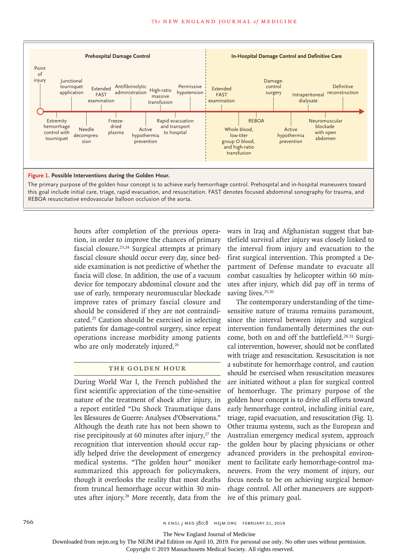

hours after completion of the previous operation, in order to improve the chances of primary fascial closure.23,24 Surgical attempts at primary fascial closure should occur every day, since bedside examination is not predictive of whether the fascia will close. In addition, the use of a vacuum device for temporary abdominal closure and the use of early, temporary neuromuscular blockade improve rates of primary fascial closure and should be considered if they are not contraindicated.25 Caution should be exercised in selecting patients for damage-control surgery, since repeat operations increase morbidity among patients who are only moderately injured.<sup>26</sup>

# The Golden Hour

During World War I, the French published the first scientific appreciation of the time-sensitive nature of the treatment of shock after injury, in a report entitled "Du Shock Traumatique dans les Blessures de Guerre: Analyses d'Observations." Although the death rate has not been shown to rise precipitously at 60 minutes after injury, $27$  the recognition that intervention should occur rapidly helped drive the development of emergency medical systems. "The golden hour" moniker summarized this approach for policymakers, though it overlooks the reality that most deaths from truncal hemorrhage occur within 30 minutes after injury.<sup>28</sup> More recently, data from the wars in Iraq and Afghanistan suggest that battlefield survival after injury was closely linked to the interval from injury and evacuation to the first surgical intervention. This prompted a Department of Defense mandate to evacuate all combat casualties by helicopter within 60 minutes after injury, which did pay off in terms of saving lives.<sup>29,30</sup>

The contemporary understanding of the timesensitive nature of trauma remains paramount, since the interval between injury and surgical intervention fundamentally determines the outcome, both on and off the battlefield.<sup>28,31</sup> Surgical intervention, however, should not be conflated with triage and resuscitation. Resuscitation is not a substitute for hemorrhage control, and caution should be exercised when resuscitation measures are initiated without a plan for surgical control of hemorrhage. The primary purpose of the golden hour concept is to drive all efforts toward early hemorrhage control, including initial care, triage, rapid evacuation, and resuscitation (Fig. 1). Other trauma systems, such as the European and Australian emergency medical system, approach the golden hour by placing physicians or other advanced providers in the prehospital environment to facilitate early hemorrhage-control maneuvers. From the very moment of injury, our focus needs to be on achieving surgical hemorrhage control. All other maneuvers are supportive of this primary goal.

766 n engl j med 380;8 nejm.org February 21, 2019

The New England Journal of Medicine

Downloaded from nejm.org by The NEJM iPad Edition on April 10, 2019. For personal use only. No other uses without permission.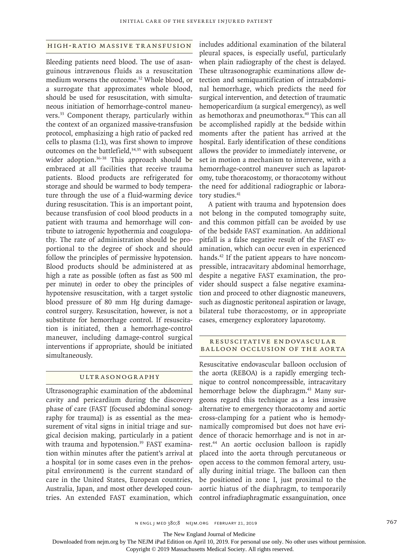# High-Ratio Massive Transfusion

Bleeding patients need blood. The use of asanguinous intravenous fluids as a resuscitation medium worsens the outcome.<sup>32</sup> Whole blood, or a surrogate that approximates whole blood, should be used for resuscitation, with simultaneous initiation of hemorrhage-control maneuvers.33 Component therapy, particularly within the context of an organized massive-transfusion protocol, emphasizing a high ratio of packed red cells to plasma (1:1), was first shown to improve outcomes on the battlefield, $34,35$  with subsequent wider adoption.<sup>36-38</sup> This approach should be embraced at all facilities that receive trauma patients. Blood products are refrigerated for storage and should be warmed to body temperature through the use of a fluid-warming device during resuscitation. This is an important point, because transfusion of cool blood products in a patient with trauma and hemorrhage will contribute to iatrogenic hypothermia and coagulopathy. The rate of administration should be proportional to the degree of shock and should follow the principles of permissive hypotension. Blood products should be administered at as high a rate as possible (often as fast as 500 ml per minute) in order to obey the principles of hypotensive resuscitation, with a target systolic blood pressure of 80 mm Hg during damagecontrol surgery. Resuscitation, however, is not a substitute for hemorrhage control. If resuscitation is initiated, then a hemorrhage-control maneuver, including damage-control surgical interventions if appropriate, should be initiated simultaneously.

### Ultrasonography

Ultrasonographic examination of the abdominal cavity and pericardium during the discovery phase of care (FAST [focused abdominal sonography for trauma]) is as essential as the measurement of vital signs in initial triage and surgical decision making, particularly in a patient with trauma and hypotension.<sup>39</sup> FAST examination within minutes after the patient's arrival at a hospital (or in some cases even in the prehospital environment) is the current standard of care in the United States, European countries, Australia, Japan, and most other developed countries. An extended FAST examination, which

includes additional examination of the bilateral pleural spaces, is especially useful, particularly when plain radiography of the chest is delayed. These ultrasonographic examinations allow detection and semiquantification of intraabdominal hemorrhage, which predicts the need for surgical intervention, and detection of traumatic hemopericardium (a surgical emergency), as well as hemothorax and pneumothorax.40 This can all be accomplished rapidly at the bedside within moments after the patient has arrived at the hospital. Early identification of these conditions allows the provider to immediately intervene, or set in motion a mechanism to intervene, with a hemorrhage-control maneuver such as laparotomy, tube thoracostomy, or thoracotomy without the need for additional radiographic or laboratory studies.<sup>41</sup>

A patient with trauma and hypotension does not belong in the computed tomography suite, and this common pitfall can be avoided by use of the bedside FAST examination. An additional pitfall is a false negative result of the FAST examination, which can occur even in experienced hands.<sup>42</sup> If the patient appears to have noncompressible, intracavitary abdominal hemorrhage, despite a negative FAST examination, the provider should suspect a false negative examination and proceed to other diagnostic maneuvers, such as diagnostic peritoneal aspiration or lavage, bilateral tube thoracostomy, or in appropriate cases, emergency exploratory laparotomy.

# RESUSCITATIVE ENDOVASCULAR Balloon Occlusion of the Aorta

Resuscitative endovascular balloon occlusion of the aorta (REBOA) is a rapidly emerging technique to control noncompressible, intracavitary hemorrhage below the diaphragm.<sup>43</sup> Many surgeons regard this technique as a less invasive alternative to emergency thoracotomy and aortic cross-clamping for a patient who is hemodynamically compromised but does not have evidence of thoracic hemorrhage and is not in arrest.44 An aortic occlusion balloon is rapidly placed into the aorta through percutaneous or open access to the common femoral artery, usually during initial triage. The balloon can then be positioned in zone I, just proximal to the aortic hiatus of the diaphragm, to temporarily control infradiaphragmatic exsanguination, once

n engl j med 380;8 nejm.org February 21, 2019 767

The New England Journal of Medicine

Downloaded from nejm.org by The NEJM iPad Edition on April 10, 2019. For personal use only. No other uses without permission.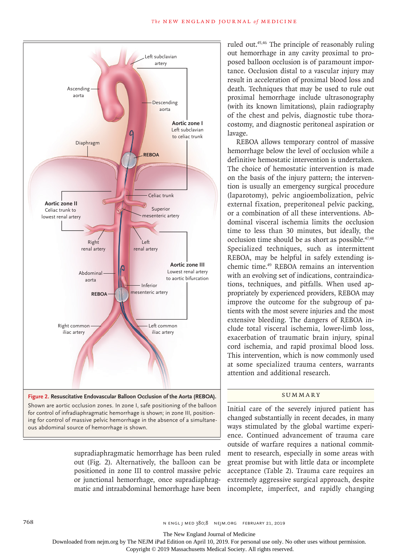

Shown are aortic occlusion zones. In zone I, safe positioning of the balloon for control of infradiaphragmatic hemorrhage is shown; in zone III, positioning for control of massive pelvic hemorrhage in the absence of a simultaneous abdominal source of hemorrhage is shown.

> supradiaphragmatic hemorrhage has been ruled out (Fig. 2). Alternatively, the balloon can be positioned in zone III to control massive pelvic or junctional hemorrhage, once supradiaphragmatic and intraabdominal hemorrhage have been

ruled out.45,46 The principle of reasonably ruling out hemorrhage in any cavity proximal to proposed balloon occlusion is of paramount importance. Occlusion distal to a vascular injury may result in acceleration of proximal blood loss and death. Techniques that may be used to rule out proximal hemorrhage include ultrasonography (with its known limitations), plain radiography of the chest and pelvis, diagnostic tube thoracostomy, and diagnostic peritoneal aspiration or lavage.

REBOA allows temporary control of massive hemorrhage below the level of occlusion while a definitive hemostatic intervention is undertaken. The choice of hemostatic intervention is made on the basis of the injury pattern; the intervention is usually an emergency surgical procedure (laparotomy), pelvic angioembolization, pelvic external fixation, preperitoneal pelvic packing, or a combination of all these interventions. Abdominal visceral ischemia limits the occlusion time to less than 30 minutes, but ideally, the occlusion time should be as short as possible.<sup>47,48</sup> Specialized techniques, such as intermittent REBOA, may be helpful in safely extending ischemic time.49 REBOA remains an intervention with an evolving set of indications, contraindications, techniques, and pitfalls. When used appropriately by experienced providers, REBOA may improve the outcome for the subgroup of patients with the most severe injuries and the most extensive bleeding. The dangers of REBOA include total visceral ischemia, lower-limb loss, exacerbation of traumatic brain injury, spinal cord ischemia, and rapid proximal blood loss. This intervention, which is now commonly used at some specialized trauma centers, warrants attention and additional research.

#### **SUMMARY**

Initial care of the severely injured patient has changed substantially in recent decades, in many ways stimulated by the global wartime experience. Continued advancement of trauma care outside of warfare requires a national commitment to research, especially in some areas with great promise but with little data or incomplete acceptance (Table 2). Trauma care requires an extremely aggressive surgical approach, despite incomplete, imperfect, and rapidly changing

768 n engl j med 380;8 nejm.org February 21, 2019

The New England Journal of Medicine

Downloaded from nejm.org by The NEJM iPad Edition on April 10, 2019. For personal use only. No other uses without permission.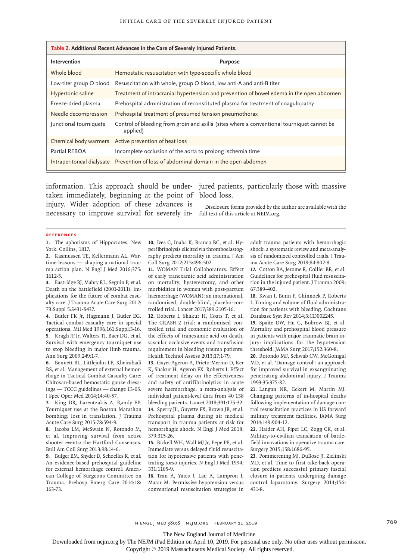| Table 2. Additional Recent Advances in the Care of Severely Injured Patients. |                                                                                                        |  |
|-------------------------------------------------------------------------------|--------------------------------------------------------------------------------------------------------|--|
| Intervention                                                                  | <b>Purpose</b>                                                                                         |  |
| Whole blood                                                                   | Hemostatic resuscitation with type-specific whole blood                                                |  |
| Low-titer group O blood                                                       | Resuscitation with whole, group O blood, low anti-A and anti-B titer                                   |  |
| Hypertonic saline                                                             | Treatment of intracranial hypertension and prevention of bowel edema in the open abdomen               |  |
| Freeze-dried plasma                                                           | Prehospital administration of reconstituted plasma for treatment of coagulopathy                       |  |
| Needle decompression                                                          | Prehospital treatment of presumed tension pneumothorax                                                 |  |
| Junctional tourniquets                                                        | Control of bleeding from groin and axilla (sites where a conventional tourniquet cannot be<br>applied) |  |
| Chemical body warmers                                                         | Active prevention of heat loss                                                                         |  |
| Partial REBOA                                                                 | Incomplete occlusion of the aorta to prolong ischemia time                                             |  |
| Intraperitoneal dialysate                                                     | Prevention of loss of abdominal domain in the open abdomen                                             |  |

information. This approach should be under-jured patients, particularly those with massive taken immediately, beginning at the point of blood loss.

injury. Wider adoption of these advances is necessary to improve survival for severely in-

Disclosure forms provided by the author are available with the full text of this article at NEJM.org.

#### **References**

**1.** The aphorisms of Hippocrates. New York: Collins, 1817.

**2.** Rasmussen TE, Kellermann AL. Wartime lessons — shaping a national trauma action plan. N Engl J Med 2016;375: 1612-5.

**3.** Eastridge BJ, Mabry RL, Seguin P, et al. Death on the battlefield (2001-2011): implications for the future of combat casualty care. J Trauma Acute Care Surg 2012; 73:Suppl 5:S431-S437.

**4.** Butler FK Jr, Hagmann J, Butler EG. Tactical combat casualty care in special operations. Mil Med 1996;161:Suppl:3-16. **5.** Kragh JF Jr, Walters TJ, Baer DG, et al. Survival with emergency tourniquet use to stop bleeding in major limb trauma. Ann Surg 2009;249:1-7.

**6.** Bennett BL, Littlejohn LF, Kheirabadi BS, et al. Management of external hemorrhage in Tactical Combat Casualty Care: Chitosan-based hemostatic gauze dressings — TCCC guidelines — change 13-05. J Spec Oper Med 2014;14:40-57.

**7.** King DR, Larentzakis A, Ramly EP. Tourniquet use at the Boston Marathon bombing: lost in translation. J Trauma Acute Care Surg 2015;78:594-9.

**8.** Jacobs LM, McSwain N, Rotondo M, et al. Improving survival from active shooter events: the Hartford Consensus. Bull Am Coll Surg 2013;98:14-6.

**9.** Bulger EM, Snyder D, Schoelles K, et al. An evidence-based prehospital guideline for external hemorrhage control: American College of Surgeons Committee on Trauma. Prehosp Emerg Care 2014;18: 163-73.

**10.** Ives C, Inaba K, Branco BC, et al. Hyperfibrinolysis elicited via thromboelastography predicts mortality in trauma. J Am Coll Surg 2012;215:496-502.

**11.** WOMAN Trial Collaborators. Effect of early tranexamic acid administration on mortality, hysterectomy, and other morbidities in women with post-partum haemorrhage (WOMAN): an international, randomised, double-blind, placebo-controlled trial. Lancet 2017;389:2105-16.

**12.** Roberts I, Shakur H, Coats T, et al. The CRASH-2 trial: a randomised controlled trial and economic evaluation of the effects of tranexamic acid on death, vascular occlusive events and transfusion requirement in bleeding trauma patients. Health Technol Assess 2013;17:1-79.

**13.** Gayet-Ageron A, Prieto-Merino D, Ker K, Shakur H, Ageron FX, Roberts I. Effect of treatment delay on the effectiveness and safety of antifibrinolytics in acute severe haemorrhage: a meta-analysis of individual patient-level data from 40 138 bleeding patients. Lancet 2018;391:125-32. **14.** Sperry JL, Guyette FX, Brown JB, et al. Prehospital plasma during air medical transport in trauma patients at risk for hemorrhagic shock. N Engl J Med 2018; 379:315-26.

**15.** Bickell WH, Wall MJ Jr, Pepe PE, et al. Immediate versus delayed fluid resuscitation for hypotensive patients with penetrating torso injuries. N Engl J Med 1994; 331:1105-9.

**16.** Tran A, Yates J, Lau A, Lampron J, Matar M. Permissive hypotension versus conventional resuscitation strategies in adult trauma patients with hemorrhagic shock: a systematic review and meta-analysis of randomized controlled trials. J Trauma Acute Care Surg 2018;84:802-8.

**17.** Cotton BA, Jerome R, Collier BR, et al. Guidelines for prehospital fluid resuscitation in the injured patient. J Trauma 2009; 67:389-402.

**18.** Kwan I, Bunn F, Chinnock P, Roberts I. Timing and volume of fluid administration for patients with bleeding. Cochrane Database Syst Rev 2014;3:CD002245.

**19.** Spaite DW, Hu C, Bobrow BJ, et al. Mortality and prehospital blood pressure in patients with major traumatic brain injury: implications for the hypotension threshold. JAMA Surg 2017;152:360-8.

**20.** Rotondo MF, Schwab CW, McGonigal MD, et al. 'Damage control': an approach for improved survival in exsanguinating penetrating abdominal injury. J Trauma 1993;35:375-82.

**21.** Langan NR, Eckert M, Martin MJ. Changing patterns of in-hospital deaths following implementation of damage control resuscitation practices in US forward military treatment facilities. JAMA Surg 2014;149:904-12.

**22.** Haider AH, Piper LC, Zogg CK, et al. Military-to-civilian translation of battlefield innovations in operative trauma care. Surgery 2015;158:1686-95.

**23.** Pommerening MJ, DuBose JJ, Zielinski MD, et al. Time to first take-back operation predicts successful primary fascial closure in patients undergoing damage control laparotomy. Surgery 2014;156: 431-8.

n engl j med 380;8 nejm.org February 21, 2019 769

The New England Journal of Medicine

Downloaded from nejm.org by The NEJM iPad Edition on April 10, 2019. For personal use only. No other uses without permission.